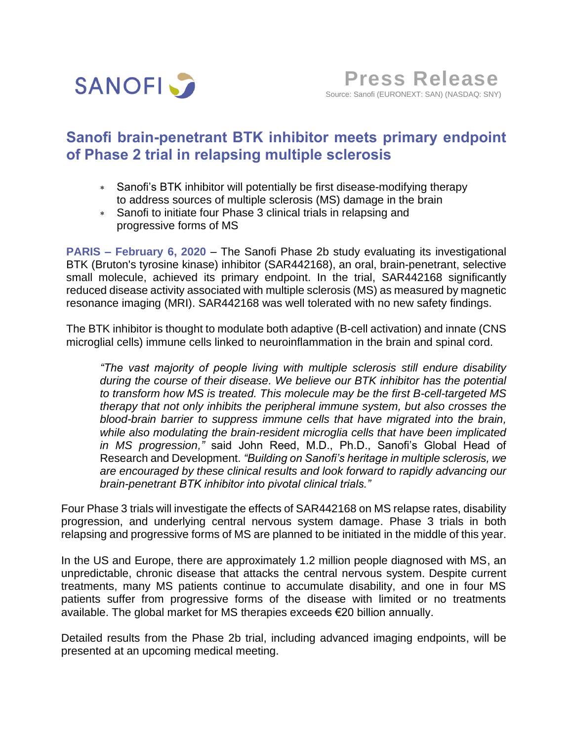

# **Sanofi brain-penetrant BTK inhibitor meets primary endpoint of Phase 2 trial in relapsing multiple sclerosis**

- Sanofi's BTK inhibitor will potentially be first disease-modifying therapy to address sources of multiple sclerosis (MS) damage in the brain
- Sanofi to initiate four Phase 3 clinical trials in relapsing and progressive forms of MS

**PARIS – February 6, 2020** – The Sanofi Phase 2b study evaluating its investigational BTK (Bruton's tyrosine kinase) inhibitor (SAR442168), an oral, brain-penetrant, selective small molecule, achieved its primary endpoint. In the trial, SAR442168 significantly reduced disease activity associated with multiple sclerosis (MS) as measured by magnetic resonance imaging (MRI). SAR442168 was well tolerated with no new safety findings.

The BTK inhibitor is thought to modulate both adaptive (B-cell activation) and innate (CNS microglial cells) immune cells linked to neuroinflammation in the brain and spinal cord.

*"The vast majority of people living with multiple sclerosis still endure disability during the course of their disease. We believe our BTK inhibitor has the potential to transform how MS is treated. This molecule may be the first B-cell-targeted MS therapy that not only inhibits the peripheral immune system, but also crosses the blood-brain barrier to suppress immune cells that have migrated into the brain, while also modulating the brain-resident microglia cells that have been implicated in MS progression,"* said John Reed, M.D., Ph.D., Sanofi's Global Head of Research and Development. *"Building on Sanofi's heritage in multiple sclerosis, we are encouraged by these clinical results and look forward to rapidly advancing our brain-penetrant BTK inhibitor into pivotal clinical trials."* 

Four Phase 3 trials will investigate the effects of SAR442168 on MS relapse rates, disability progression, and underlying central nervous system damage. Phase 3 trials in both relapsing and progressive forms of MS are planned to be initiated in the middle of this year.

In the US and Europe, there are approximately 1.2 million people diagnosed with MS, an unpredictable, chronic disease that attacks the central nervous system. Despite current treatments, many MS patients continue to accumulate disability, and one in four MS patients suffer from progressive forms of the disease with limited or no treatments available. The global market for MS therapies exceeds €20 billion annually.

Detailed results from the Phase 2b trial, including advanced imaging endpoints, will be presented at an upcoming medical meeting.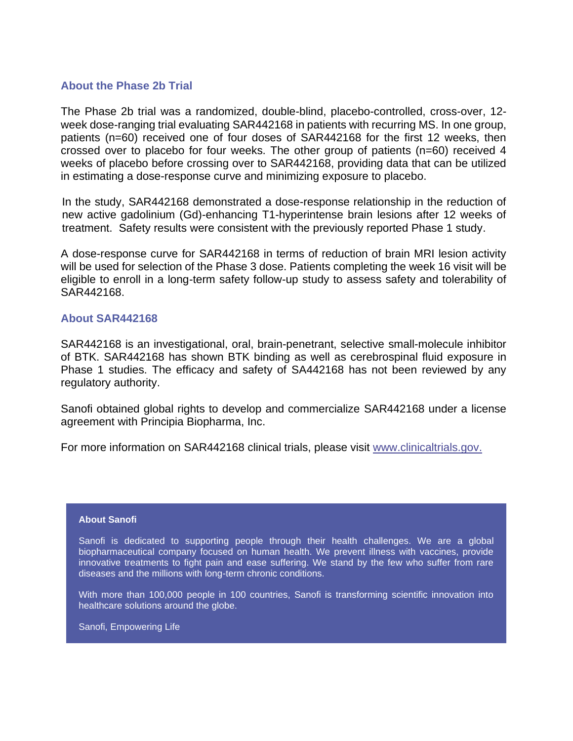# **About the Phase 2b Trial**

The Phase 2b trial was a randomized, double-blind, placebo-controlled, cross-over, 12 week dose-ranging trial evaluating SAR442168 in patients with recurring MS. In one group, patients (n=60) received one of four doses of SAR442168 for the first 12 weeks, then crossed over to placebo for four weeks. The other group of patients (n=60) received 4 weeks of placebo before crossing over to SAR442168, providing data that can be utilized in estimating a dose-response curve and minimizing exposure to placebo.

In the study, SAR442168 demonstrated a dose-response relationship in the reduction of new active gadolinium (Gd)-enhancing T1-hyperintense brain lesions after 12 weeks of treatment. Safety results were consistent with the previously reported Phase 1 study.

A dose-response curve for SAR442168 in terms of reduction of brain MRI lesion activity will be used for selection of the Phase 3 dose. Patients completing the week 16 visit will be eligible to enroll in a long-term safety follow-up study to assess safety and tolerability of SAR442168.

## **About SAR442168**

SAR442168 is an investigational, oral, brain-penetrant, selective small-molecule inhibitor of BTK. SAR442168 has shown BTK binding as well as cerebrospinal fluid exposure in Phase 1 studies. The efficacy and safety of SA442168 has not been reviewed by any regulatory authority.

Sanofi obtained global rights to develop and commercialize SAR442168 under a license agreement with Principia Biopharma, Inc.

For more information on SAR442168 clinical trials, please visit [www.clinicaltrials.gov.](https://clinicaltrials.gov/ct2/show/NCT03889639)

### **About Sanofi**

Sanofi is dedicated to supporting people through their health challenges. We are a global biopharmaceutical company focused on human health. We prevent illness with vaccines, provide innovative treatments to fight pain and ease suffering. We stand by the few who suffer from rare diseases and the millions with long-term chronic conditions.

With more than 100,000 people in 100 countries, Sanofi is transforming scientific innovation into healthcare solutions around the globe.

Sanofi, Empowering Life